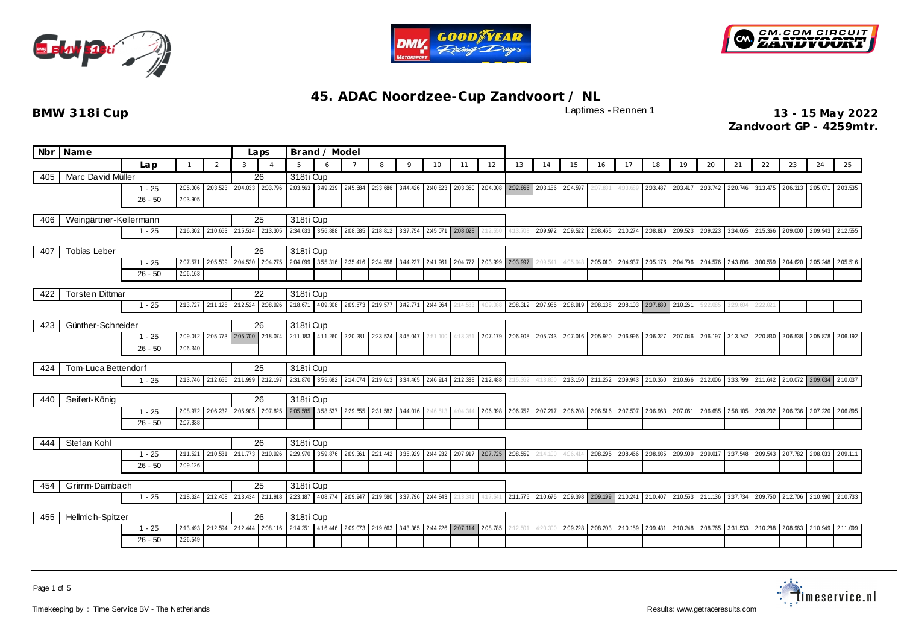





|     | Nbr Name               |           |                      | Laps           |                            |                            | Brand / Model              |                   |                   |                   |                                                              |          |          |          |                   |                            |          |                   |                   |                            |                            |                                                       |                                             |          |          |                                            |                   |
|-----|------------------------|-----------|----------------------|----------------|----------------------------|----------------------------|----------------------------|-------------------|-------------------|-------------------|--------------------------------------------------------------|----------|----------|----------|-------------------|----------------------------|----------|-------------------|-------------------|----------------------------|----------------------------|-------------------------------------------------------|---------------------------------------------|----------|----------|--------------------------------------------|-------------------|
|     |                        | Lap       |                      | 2              | 3                          |                            | $5^{\circ}$                | 6                 |                   | 8                 | $\circ$                                                      | 10       | 11       | 12       | 13                | 14                         | 15       | 16                | 17                | 18                         | 19                         | 20                                                    | 21                                          | 22       | 23       | 24                                         | 25                |
| 405 | Marc David Müller      |           |                      |                |                            | 26                         | 318ti Cup                  |                   |                   |                   |                                                              |          |          |          |                   |                            |          |                   |                   |                            |                            |                                                       |                                             |          |          |                                            |                   |
|     |                        | $1 - 25$  | 2.05.006             | 2.03.523       | 2:04.033                   | 2.03.796                   | 2:03.563                   | 3:49.239 2:45.684 |                   | 2:33.686          | 3:44.426                                                     | 2:40.823 | 2:03.360 |          | 2.04.008 2.02.866 | 2.03.186                   | 2:04.597 | 2:07.831          | 4:03.689          | 2:03.487                   | 2.03.417                   | 2.03.742                                              | 2:20.746                                    | 3:13.475 |          | 2.06.313 2.05.071                          | 2.03.535          |
|     |                        | $26 - 50$ | 2:03.905             |                |                            |                            |                            |                   |                   |                   |                                                              |          |          |          |                   |                            |          |                   |                   |                            |                            |                                                       |                                             |          |          |                                            |                   |
| 406 | Weingärtner-Kellermann |           |                      |                |                            | 25                         | 318ti Cup                  |                   |                   |                   |                                                              |          |          |          |                   |                            |          |                   |                   |                            |                            |                                                       |                                             |          |          |                                            |                   |
|     |                        | $1 - 25$  | 2:16.302             | 2:10.663       |                            | 2:15.514 2:13.305          |                            |                   |                   |                   | 234.633 356.888 2.08.585 2.18.812 3.37.754 2.45.071 2.08.028 |          |          | 2:12.550 | 4:13.708          | 2.09.972                   | 2.09.522 |                   |                   |                            |                            | 2.08.455 2.10.274 2.08.819 2.09.523 2.09.223          | 334.065 2:15.366 2:09.000 2:09.943 2:12.555 |          |          |                                            |                   |
|     |                        |           |                      |                |                            |                            |                            |                   |                   |                   |                                                              |          |          |          |                   |                            |          |                   |                   |                            |                            |                                                       |                                             |          |          |                                            |                   |
| 407 | <b>Tobias Leber</b>    |           |                      |                |                            | 26                         | 318ti Cup                  |                   |                   |                   |                                                              |          |          |          |                   |                            |          |                   |                   |                            |                            |                                                       |                                             |          |          |                                            |                   |
|     |                        | $1 - 25$  | 2.07.571             | 2.05.509       | 2:04.520                   | 2:04.275                   | 2:04.099                   |                   | 355.316 235.416   | 2:34.558          | 3:44.227                                                     | 2:41.961 | 2:04.777 | 2.03.999 | 2.03.997          | 2:09.541                   | 4:05.94  | 2:05.010          | 2:04.937          |                            | 2.05.176 2.04.796 2.04.576 |                                                       | 2:43.806                                    | 3:00.559 | 2:04.620 |                                            | 2.05.248 2.05.516 |
|     |                        | $26 - 50$ | 2:06.163             |                |                            |                            |                            |                   |                   |                   |                                                              |          |          |          |                   |                            |          |                   |                   |                            |                            |                                                       |                                             |          |          |                                            |                   |
| 422 | <b>Torsten Dittman</b> |           |                      |                |                            | 22                         | 318ti Cup                  |                   |                   |                   |                                                              |          |          |          |                   |                            |          |                   |                   |                            |                            |                                                       |                                             |          |          |                                            |                   |
|     |                        | $1 - 25$  | 2:13.727             | 2:11.128       | 2:12.524                   | 2.08.926                   | 2:18.671                   |                   | 4:09.308 2:09.673 | 2:19.577          | 3:42.771 2:44.364                                            |          | 2:14.583 | 4:09.088 |                   | 2.08.312 2.07.985          | 2.08.919 | 2.08.138          |                   | 2.08.103 2.07.880 2.10.261 |                            | 5:22.085                                              | 3:29.604                                    | 2:22.021 |          |                                            |                   |
|     |                        |           |                      |                |                            |                            |                            |                   |                   |                   |                                                              |          |          |          |                   |                            |          |                   |                   |                            |                            |                                                       |                                             |          |          |                                            |                   |
| 423 | Günther-Schneider      |           | 2.05.773 2.05.700    | 26<br>2:18.074 | 318ti Cup<br>2:11.183      | 4:11.260 2:20.281          |                            | 223.524           | 3:45.047          |                   |                                                              | 2:07.179 | 2:06.908 | 2:05.743 | 2.07.016          | 2:05.920                   | 2.06.996 | 2.06.327          | 2.07.046 2.06.197 |                            |                            |                                                       |                                             |          |          |                                            |                   |
|     |                        | $1 - 25$  | 2:09.012<br>2:06.340 |                |                            |                            |                            |                   |                   |                   |                                                              | 2:51.100 | 4:13.361 |          |                   |                            |          |                   |                   |                            |                            |                                                       | 3:13.742                                    | 2:20.830 | 2.06.538 |                                            | 2.05.878 2.06.192 |
|     |                        | $26 - 50$ |                      |                |                            |                            |                            |                   |                   |                   |                                                              |          |          |          |                   |                            |          |                   |                   |                            |                            |                                                       |                                             |          |          |                                            |                   |
| 424 | Tom-Luca Bettendorf    |           |                      |                |                            | 25                         | 318ti Cup                  |                   |                   |                   |                                                              |          |          |          |                   |                            |          |                   |                   |                            |                            |                                                       |                                             |          |          |                                            |                   |
|     |                        | $1 - 25$  | 2:13.746             | 2:12.656       | 2:11.999 2:12.197          |                            |                            |                   |                   |                   | 2:31.870 3:55.682 2:14.074 2:19.613 3:34.465                 | 2:46.914 | 2:12.338 | 2:12.488 | 2:15.362          | 4:13.860                   |          |                   |                   |                            |                            | 2.13.150 2.11.252 2.09.943 2.10.360 2.10.966 2.12.006 | 3:33.799                                    |          |          | 2.11.642 2.10.072 2.09.634                 | 2:10.037          |
| 440 | Seifert-König          |           |                      |                |                            | 26                         | 318ti Cup                  |                   |                   |                   |                                                              |          |          |          |                   |                            |          |                   |                   |                            |                            |                                                       |                                             |          |          |                                            |                   |
|     |                        | $1 - 25$  | 2:08.972             |                | 2.06.232 2.05.905 2.07.825 |                            | 2.05.585 3.58.537 2.29.655 |                   |                   | 2:31.582 3:44.016 |                                                              |          |          |          |                   | 2.06.398 2.06.752 2.07.217 | 2:06.208 | 2.06.516 2.07.507 |                   | 2.06.963 2.07.061          |                            | 2.06.685                                              |                                             |          |          | 258.105 239.202 2.06.736 2.07.220 2.06.895 |                   |
|     |                        | $26 - 50$ | 2:07.838             |                |                            |                            |                            |                   |                   |                   |                                                              |          |          |          |                   |                            |          |                   |                   |                            |                            |                                                       |                                             |          |          |                                            |                   |
|     |                        |           |                      |                |                            |                            |                            |                   |                   |                   |                                                              |          |          |          |                   |                            |          |                   |                   |                            |                            |                                                       |                                             |          |          |                                            |                   |
| 444 | Stefan Kohl            |           |                      |                |                            | 26                         | 318ti Cup                  |                   |                   |                   |                                                              |          |          |          |                   |                            |          |                   |                   |                            |                            |                                                       |                                             |          |          |                                            |                   |
|     |                        | $1 - 25$  | 2:11.521             | 2:10.581       |                            | 2:11.773 2:10.926          | 229.970                    |                   |                   |                   | 3.59.876 2.09.361 2.21.442 3.35.929                          | 2:44.932 | 2.07.917 | 2.07.725 | 2:08.559          | 14.100                     | 4:06.41  | 2:08.295          | 2.08.466          |                            | 2.08.935 2.09.909 2.09.017 |                                                       |                                             |          |          | 3:37.548 2:09.543 2:07.782 2:08.033        | 2.09.111          |
|     |                        | $26 - 50$ | 2:09.126             |                |                            |                            |                            |                   |                   |                   |                                                              |          |          |          |                   |                            |          |                   |                   |                            |                            |                                                       |                                             |          |          |                                            |                   |
| 454 | Grimm-Dambach          |           |                      | 25             | 318ti Cup                  |                            |                            |                   |                   |                   |                                                              |          |          |          |                   |                            |          |                   |                   |                            |                            |                                                       |                                             |          |          |                                            |                   |
|     | 2:18.324<br>$1 - 25$   |           |                      |                |                            | 2:12.408 2:13.434 2:11.918 |                            |                   |                   |                   | 223.187 4.08.774 2.09.947 2.19.580 3.37.796 2.44.843         |          | 2:13.341 |          |                   | 4:17.541 2:11.775 2:10.675 |          |                   |                   |                            |                            | 2.09.398 2.09.199 2.10.241 2.10.407 2.10.553 2.11.136 | 337.734 2.09.750 2.12.706 2.10.990 2.10.733 |          |          |                                            |                   |
|     |                        |           |                      |                |                            |                            |                            |                   |                   |                   |                                                              |          |          |          |                   |                            |          |                   |                   |                            |                            |                                                       |                                             |          |          |                                            |                   |
| 455 | Hellmich-Spitzer       |           |                      |                |                            | 26                         |                            | 318ti Cup         |                   |                   |                                                              |          |          |          |                   |                            |          |                   |                   |                            |                            |                                                       |                                             |          |          |                                            |                   |
|     |                        | $1 - 25$  | 2:13.493             | 2:12.594       | 2:12.444                   | 2.08.116                   | 2:14.251                   |                   | 4:16.446 2:09.073 | 2:19.663          | 3:43.365                                                     | 2:44.226 | 2.07.114 | 2.08.785 |                   | 4:20.300                   | 2:09.228 | 2:08.203          | 2:10.159          |                            |                            | 2.09.431 2:10.248 2.08.765                            | 3:31.533 2:10.288                           |          | 2.08.963 |                                            | 2:10.949 2:11.099 |
|     | 2:26.549<br>$26 - 50$  |           |                      |                |                            |                            |                            |                   |                   |                   |                                                              |          |          |          |                   |                            |          |                   |                   |                            |                            |                                                       |                                             |          |          |                                            |                   |

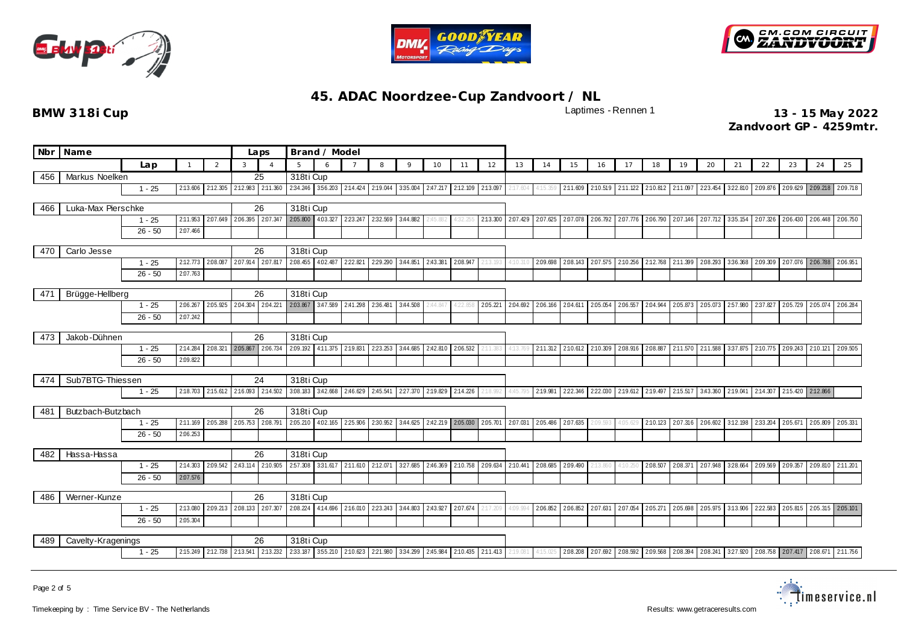





**BMW 318i Cup** 2022 **13 - 15 May 2022 Zandvoort GP - 4259mtr.**

|     | Nbr Name                                  |                                           |              | Laps           |                            | Brand / Model              |                                                                |                            |                                     |          |                                     |          |                   |           |          |          |                                     |                                     |                   |          |                  |                                                                |          |                                             |          |                   |          |
|-----|-------------------------------------------|-------------------------------------------|--------------|----------------|----------------------------|----------------------------|----------------------------------------------------------------|----------------------------|-------------------------------------|----------|-------------------------------------|----------|-------------------|-----------|----------|----------|-------------------------------------|-------------------------------------|-------------------|----------|------------------|----------------------------------------------------------------|----------|---------------------------------------------|----------|-------------------|----------|
|     |                                           | Lap                                       | $\mathbf{1}$ | $\overline{2}$ | 3                          |                            | 5                                                              | 6                          | $\overline{7}$                      | 8        | 9                                   | 10       | 11                | 12        | 13       | 14       | 15                                  | 16                                  | 17                | 18       | 19               | 20                                                             | 21       | 22                                          | 23       | 24                | 25       |
| 456 | Markus Noelken                            |                                           |              |                |                            | 25                         | 318ti Cup                                                      |                            |                                     |          |                                     |          |                   |           |          |          |                                     |                                     |                   |          |                  |                                                                |          |                                             |          |                   |          |
|     |                                           | $1 - 25$                                  | 2:13.606     | 2:12.305       | 2:12.983                   | 2:11.360                   |                                                                | 2:34.246 3:56.203 2:14.424 |                                     | 2:19.044 | 3:35.004                            | 2:47.217 | 2:12.109 2:13.097 |           | 2:17.604 |          |                                     | 2:11.609 2:10.519 2:11.122 2:10.812 |                   |          | 2:11.097 223.454 |                                                                |          | 322.810 2.09.876 2.09.629 2.09.218 2.09.718 |          |                   |          |
| 466 | Luka-Max Pierschke                        |                                           |              |                |                            | 26                         | 318ti Cup                                                      |                            |                                     |          |                                     |          |                   |           |          |          |                                     |                                     |                   |          |                  |                                                                |          |                                             |          |                   |          |
|     |                                           | $1 - 25$                                  | 2:11.953     | 2.07.649       | 2.06.395                   | 2:07.347                   | 2.05.800                                                       |                            | 4.03.327 2.23.247                   | 2:32.569 | 3:44.882                            |          |                   | 2:13.300  | 2:07.429 | 2:07.625 | 2:07.078                            |                                     | 2.06.792 2.07.776 | 2:06.790 | 2.07.146         | 2.07.712                                                       | 3:35.154 | 2.07.326                                    | 2:06.430 | 2.06.448          | 2:06.750 |
|     |                                           | $26 - 50$                                 | 2:07.466     |                |                            |                            |                                                                |                            |                                     |          |                                     |          |                   |           |          |          |                                     |                                     |                   |          |                  |                                                                |          |                                             |          |                   |          |
| 470 | Carlo Jesse                               |                                           |              |                |                            | 26                         | 318ti Cup                                                      |                            |                                     |          |                                     |          |                   |           |          |          |                                     |                                     |                   |          |                  |                                                                |          |                                             |          |                   |          |
|     |                                           | $1 - 25$                                  | 2:12.773     |                | 2.08.087 2.07.914 2.07.817 |                            | 2:08.455                                                       | 4.02.487 222.821           |                                     | 2:29.290 | 3:44.851                            | 2:43.381 | 2.08.947          |           |          | 2.09.698 |                                     | 2.08.143 2.07.575 2.10.256 2.12.768 |                   |          | 2:11.399         | 2.08.293                                                       | 3:36.368 | 2.09.309 2.07.076 2.06.788 2.06.951         |          |                   |          |
|     |                                           | $26 - 50$                                 | 2:07.763     |                |                            |                            |                                                                |                            |                                     |          |                                     |          |                   |           |          |          |                                     |                                     |                   |          |                  |                                                                |          |                                             |          |                   |          |
|     |                                           |                                           |              |                |                            |                            |                                                                |                            |                                     |          |                                     |          |                   |           |          |          |                                     |                                     |                   |          |                  |                                                                |          |                                             |          |                   |          |
| 471 | Brügge-Hellberg                           |                                           |              |                |                            | 26                         | 318ti Cup                                                      |                            |                                     |          |                                     |          |                   |           |          |          |                                     |                                     |                   |          |                  |                                                                |          |                                             |          |                   |          |
|     |                                           | $1 - 25$                                  | 2:06.267     |                |                            |                            | 2.05.925 2.04.304 2.04.221 2.03.867 3.47.589 2.41.298 2.36.481 |                            |                                     |          | 3:44.508                            | 2:44.847 |                   | 2.05.221  | 2:04.692 | 2.06.166 |                                     | 2.04.611 2.05.054 2.06.557 2.04.944 |                   |          |                  | 2.05.873 2.05.073 2.57.980 2.37.827                            |          |                                             | 2.05.729 | 2.05.074 2.06.284 |          |
|     |                                           | $26 - 50$                                 | 2:07.242     |                |                            |                            |                                                                |                            |                                     |          |                                     |          |                   |           |          |          |                                     |                                     |                   |          |                  |                                                                |          |                                             |          |                   |          |
| 473 | Jakob-Dühnen                              |                                           |              |                |                            | 26                         | 318ti Cup                                                      |                            |                                     |          |                                     |          |                   |           |          |          |                                     |                                     |                   |          |                  |                                                                |          |                                             |          |                   |          |
|     |                                           | 2:14.284<br>2.08.321 2.05.867<br>$1 - 25$ |              |                |                            | 2:06.734                   | 2.09.192                                                       | 4:11.375 2:19.831          |                                     | 223.253  | 3:44.685                            | 2:42.810 | 2.06.532          | :11.383   | 4:13.769 | 2:11.312 |                                     | 2:10.612 2:10.309                   | 2.08.916 2.08.887 |          | 2:11.570         | 2:11.588                                                       | 3:37.875 | 2:10.775 2:09.243                           |          | 2:10.121 2:09.505 |          |
|     |                                           | $26 - 50$                                 | 2:09.822     |                |                            |                            |                                                                |                            |                                     |          |                                     |          |                   |           |          |          |                                     |                                     |                   |          |                  |                                                                |          |                                             |          |                   |          |
|     |                                           |                                           |              |                |                            |                            |                                                                |                            |                                     |          |                                     |          |                   |           |          |          |                                     |                                     |                   |          |                  |                                                                |          |                                             |          |                   |          |
| 474 | Sub7BTG-Thiessen                          |                                           |              |                |                            | 24                         | 318ti Cup                                                      |                            |                                     |          |                                     |          |                   |           |          |          |                                     |                                     |                   |          |                  |                                                                |          |                                             |          |                   |          |
|     |                                           | $1 - 25$                                  | 2:18.703     | 2:15.612       | 2:16.093                   | 2:14.502                   |                                                                |                            | 3.08.183 3.42.668 2.46.629 2.45.541 |          | 227.370                             | 2:19.829 | 2:14.226          | $-18.992$ | 4:45.795 | 2:19.981 | 2:22.346 2:22.030 2:19.612 2:19.497 |                                     |                   |          |                  | 2:15.517 3:43.360 2:19.041                                     |          | 2:14.307 2:15.420 2:12.866                  |          |                   |          |
| 481 | Butzbach-Butzbach                         |                                           |              |                |                            | 26                         | 318ti Cup                                                      |                            |                                     |          |                                     |          |                   |           |          |          |                                     |                                     |                   |          |                  |                                                                |          |                                             |          |                   |          |
|     |                                           | $1 - 25$                                  | 2:11.169     | 2.05.288       | 2.05.753                   | 2:08.791                   | 2.05.210                                                       | 4.02.165 225.906           |                                     | 2:30.952 | 3:44.625                            |          | 2:42.219 2:05.030 | 2.05.701  | 2.07.031 | 2.05.486 | 2.07.635                            | 2:09.59.                            | 4:05.62           | 2:10.123 |                  | 2.07.316 2.06.602 3.12.198 2.33.204 2.05.671                   |          |                                             |          | 2.05.809 2.05.331 |          |
|     |                                           | $26 - 50$                                 | 2:06.253     |                |                            |                            |                                                                |                            |                                     |          |                                     |          |                   |           |          |          |                                     |                                     |                   |          |                  |                                                                |          |                                             |          |                   |          |
|     |                                           |                                           |              |                |                            |                            |                                                                |                            |                                     |          |                                     |          |                   |           |          |          |                                     |                                     |                   |          |                  |                                                                |          |                                             |          |                   |          |
| 482 | Hassa-Hassa                               | $1 - 25$                                  | 2:14.303     |                | 2.09.542 2.43.114          | 26<br>2:10.905             | 318ti Cup<br>2:57.308                                          | 3:31.617 2:11.610          |                                     | 2:12.071 | 327.685                             |          | 2:46.369 2:10.758 | 2.09.634  | 2:10.441 | 2:08.685 | 2.09.490                            | 2:13.860                            | 4:10.250          | 2.08.507 | 2.08.371         | 2.07.948 3.28.664 2.09.569 2.09.357                            |          |                                             |          | 2.09.810 2:11.201 |          |
|     |                                           | $26 - 50$                                 | 2.07.576     |                |                            |                            |                                                                |                            |                                     |          |                                     |          |                   |           |          |          |                                     |                                     |                   |          |                  |                                                                |          |                                             |          |                   |          |
|     |                                           |                                           |              |                |                            |                            |                                                                |                            |                                     |          |                                     |          |                   |           |          |          |                                     |                                     |                   |          |                  |                                                                |          |                                             |          |                   |          |
| 486 | Werner-Kunze                              |                                           |              | 26             | 318ti Cup                  |                            |                                                                |                            |                                     |          |                                     |          |                   |           |          |          |                                     |                                     |                   |          |                  |                                                                |          |                                             |          |                   |          |
|     | 2.09.213 2.08.133<br>2:13.080<br>$1 - 25$ |                                           |              |                |                            | 2.07.307                   | 2:08.224                                                       | 4:14.696 2:16.010          |                                     | 223.243  | 3:44.803                            | 2:43.927 | 2.07.674          | :17.209   | 4:09.994 | 2.06.852 | 2.06.852                            | 2.07.631                            | 2:07.054          | 2.05.271 | 2:05.698         | 2.05.975                                                       | 3:13.906 | 222.583                                     | 2.05.815 | 2.05.315 2.05.101 |          |
|     | 2:05.304<br>$26 - 50$                     |                                           |              |                |                            |                            |                                                                |                            |                                     |          |                                     |          |                   |           |          |          |                                     |                                     |                   |          |                  |                                                                |          |                                             |          |                   |          |
| 489 | Cavelty-Kragenings                        |                                           |              | 26             | 318ti Cup                  |                            |                                                                |                            |                                     |          |                                     |          |                   |           |          |          |                                     |                                     |                   |          |                  |                                                                |          |                                             |          |                   |          |
|     | 2:15.249<br>$1 - 25$                      |                                           |              |                |                            | 2:12.738 2:13.541 2:13.232 | 2.33.187 3.55.210 2.10.623 2.21.980                            |                            |                                     |          | 3:34.299 2:45.984 2:10.435 2:11.413 |          |                   |           | 2:19.081 | 4:15.025 | 2.08.208 2.07.692 2.08.592 2.09.568 |                                     |                   |          |                  | 2.08.394 2.08.241 3.27.920 2.08.758 2.07.417 2.08.671 2.11.756 |          |                                             |          |                   |          |



Page 2 of 5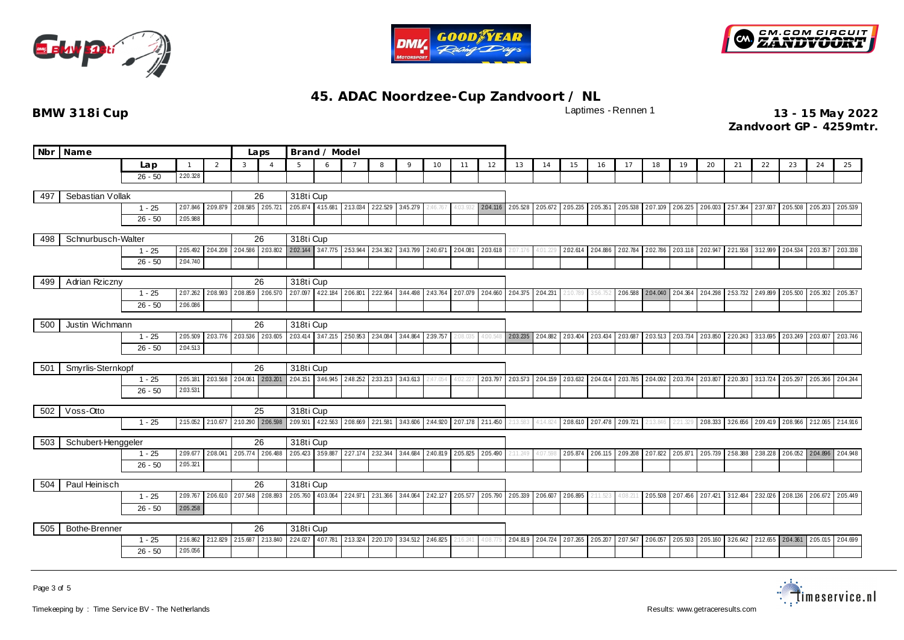





| <b>Nbr</b> | Name                  |                       |                      |                   |                   | Laps                       | Brand / Model                                |                            |                                              |          |                  |                                             |          |          |                   |          |                                     |                   |                            |                   |                            |                   |                            |                            |          |                                             |                                                              |
|------------|-----------------------|-----------------------|----------------------|-------------------|-------------------|----------------------------|----------------------------------------------|----------------------------|----------------------------------------------|----------|------------------|---------------------------------------------|----------|----------|-------------------|----------|-------------------------------------|-------------------|----------------------------|-------------------|----------------------------|-------------------|----------------------------|----------------------------|----------|---------------------------------------------|--------------------------------------------------------------|
|            |                       | Lap                   |                      | 2                 | 3                 | $\overline{A}$             | 5                                            | 6                          |                                              | 8        | 9                | 10                                          | 11       | 12       | 13                | 14       | 15                                  | 16                | 17                         | 18                | 19                         | 20                | 21                         | 22                         | 23       | 24                                          | 25                                                           |
|            |                       | $26 - 50$             | 2:20.328             |                   |                   |                            |                                              |                            |                                              |          |                  |                                             |          |          |                   |          |                                     |                   |                            |                   |                            |                   |                            |                            |          |                                             |                                                              |
| 497        | Sebastian Vollak      |                       |                      |                   |                   | 26                         | 318ti Cup                                    |                            |                                              |          |                  |                                             |          |          |                   |          |                                     |                   |                            |                   |                            |                   |                            |                            |          |                                             |                                                              |
|            |                       | $1 - 25$              | 2.07.846             |                   | 2.09.879 2.08.585 | 2.05.721                   |                                              | 2.05.874 4:15.681 2:13.034 |                                              |          | 222.529 3:45.279 | 2:46.767                                    | 1:03.93. |          | 2.04.116 2.05.528 | 2.05.672 |                                     | 2.05.235 2.05.351 |                            | 2.05.538 2.07.109 |                            | 2.06.225 2.06.003 | 257.364 237.937            |                            | 2:05.508 | 2.05.203                                    | 2.05.539                                                     |
|            |                       | $26 - 50$             | 2.05.988             |                   |                   |                            |                                              |                            |                                              |          |                  |                                             |          |          |                   |          |                                     |                   |                            |                   |                            |                   |                            |                            |          |                                             |                                                              |
|            |                       |                       |                      |                   |                   |                            |                                              |                            |                                              |          |                  |                                             |          |          |                   |          |                                     |                   |                            |                   |                            |                   |                            |                            |          |                                             |                                                              |
| 498        | Schnurbusch-Walter    |                       |                      |                   |                   | 26                         | 318ti Cup                                    |                            |                                              |          |                  |                                             |          |          |                   |          |                                     |                   |                            |                   |                            |                   |                            |                            |          |                                             |                                                              |
|            |                       | $1 - 25$              | 2:05.492             | 2:04.208          |                   |                            | 2.04.586 2.03.802 2.02.144 3.47.775 2.53.944 |                            |                                              | 2:34.362 |                  | 3:43.799 2:40.671                           | 2:04.081 | 2.03.618 |                   | 4:01.229 |                                     | 2.02.614 2.04.886 | 2.02.784                   |                   | 2.02.786 2.03.118 2.02.947 |                   | 221.558 3:12.999           |                            | 2:04.534 | 2.03.357                                    | 2.03.338                                                     |
|            |                       | $26 - 50$             | 2:04.740             |                   |                   |                            |                                              |                            |                                              |          |                  |                                             |          |          |                   |          |                                     |                   |                            |                   |                            |                   |                            |                            |          |                                             |                                                              |
| 499        | Adrian Rziczny        |                       |                      |                   |                   | 26                         | 318ti Cup                                    |                            |                                              |          |                  |                                             |          |          |                   |          |                                     |                   |                            |                   |                            |                   |                            |                            |          |                                             |                                                              |
|            |                       | $1 - 25$              | 2.07.262             | 2:08.993          | 2:08.859          | 2.06.570                   | 2.07.097                                     | 422.184 2.06.801           |                                              | 2:22.964 |                  | 3:44.498 2:43.764                           | 2.07.079 | 2:04.660 | 2.04.375          | 2:04.231 | 2:10.789                            | 3:56.752          | 2:06.588                   | 2.04.040          | 2.04.364                   | 2.04.298          | 253.732 2:49.899           |                            | 2:05.500 | 2.05.302                                    | 2.05.357                                                     |
|            |                       | $26 - 50$             | 2:06.086             |                   |                   |                            |                                              |                            |                                              |          |                  |                                             |          |          |                   |          |                                     |                   |                            |                   |                            |                   |                            |                            |          |                                             |                                                              |
|            |                       |                       |                      |                   |                   |                            |                                              |                            |                                              |          |                  |                                             |          |          |                   |          |                                     |                   |                            |                   |                            |                   |                            |                            |          |                                             |                                                              |
| 500        | Justin Wichmann       |                       |                      | 26                | 318ti Cup         |                            | 250.953                                      |                            |                                              |          |                  |                                             |          |          |                   |          |                                     |                   |                            |                   |                            |                   |                            |                            |          |                                             |                                                              |
|            |                       | $1 - 25$<br>$26 - 50$ | 2:05.509<br>2:04.513 | 2:03.776          | 2.03.536          | 2.03.605                   | 2:03.414                                     | 3.47.215                   |                                              | 2:34.084 | 3:44.864         | 2:39.757                                    | :08.03!  | 1:00.54  | 2.03.235          | 2:04.882 | 2:03.404                            | 2.03.434          | 2.03.687                   | 2.03.513          | 2.03.734                   | 2.03.850          |                            | 2:20.243 3:13.695          | 2.03.249 | 2.03.607                                    | 2.03.746                                                     |
|            |                       |                       |                      |                   |                   |                            |                                              |                            |                                              |          |                  |                                             |          |          |                   |          |                                     |                   |                            |                   |                            |                   |                            |                            |          |                                             |                                                              |
| 501        | Smyrlis-Sternkopf     |                       |                      |                   |                   | 26                         | 318ti Cup                                    |                            |                                              |          |                  |                                             |          |          |                   |          |                                     |                   |                            |                   |                            |                   |                            |                            |          |                                             |                                                              |
|            |                       | $1 - 25$              | 2:05.181             | 2:03.568          | 2:04.061          | 2.03.201                   |                                              | 2.04.151 3.46.945          | 2:48.252                                     | 2:33.213 | 3:43.613         | 247.054                                     |          | 2.03.797 | 2.03.573          | 2:04.159 |                                     | 2.03.632 2.04.014 | 2.03.785 2.04.092          |                   | 2.03.704 2.03.807          |                   |                            | 2:20.393 3:13.724 2:05.297 |          | 2.05.366                                    | 2:04.244                                                     |
|            |                       | $26 - 50$             | 2.03.531             |                   |                   |                            |                                              |                            |                                              |          |                  |                                             |          |          |                   |          |                                     |                   |                            |                   |                            |                   |                            |                            |          |                                             |                                                              |
| 502        | Voss-Otto             |                       |                      |                   |                   | 25                         | 318ti Cup                                    |                            |                                              |          |                  |                                             |          |          |                   |          |                                     |                   |                            |                   |                            |                   |                            |                            |          |                                             |                                                              |
|            |                       | $1 - 25$              |                      | 2:15.052 2:10.677 |                   | 2:10.290 2:06.598          | 2:09.501                                     |                            | 422.563 2.08.669                             |          |                  | 221.581 3:43.606 2:44.920 2:07.178 2:11.450 |          |          | 2:13.583          | 4:14.824 |                                     |                   | 2.08.610 2.07.478 2.09.721 | 2:13.846          |                            |                   |                            |                            |          |                                             | 221.329 2.08.333 326.656 2.09.419 2.08.966 2.12.065 2.14.916 |
|            |                       |                       |                      |                   |                   |                            |                                              |                            |                                              |          |                  |                                             |          |          |                   |          |                                     |                   |                            |                   |                            |                   |                            |                            |          |                                             |                                                              |
| 503        | Schubert-Henggeler    |                       |                      |                   |                   | 26                         | 318ti Cup                                    |                            |                                              |          |                  |                                             |          |          |                   |          |                                     |                   |                            |                   |                            |                   |                            |                            |          |                                             |                                                              |
|            |                       | $1 - 25$              | 2.09.677             | 2.08.041          | 2:05.774          | 2.06.488                   | 2:05.423                                     | 359.887                    | 227.174                                      | 2:32.344 | 3:44.684         | 2:40.819                                    | 2.05.825 | 2:05.490 | :11.249           | 4:07.598 | 2.05.874                            | 2.06.115          | 2.09.208                   | 2.07.822          | 2.05.871                   | 2.05.739          | 258.388 238.228            |                            | 2.06.052 | 2.04.896                                    | 2:04.948                                                     |
|            |                       | $26 - 50$             | 2:05.321             |                   |                   |                            |                                              |                            |                                              |          |                  |                                             |          |          |                   |          |                                     |                   |                            |                   |                            |                   |                            |                            |          |                                             |                                                              |
| 504        | Paul Heinisch         |                       |                      |                   | 26                | 318ti Cup                  |                                              |                            |                                              |          |                  |                                             |          |          |                   |          |                                     |                   |                            |                   |                            |                   |                            |                            |          |                                             |                                                              |
|            | 2.09.767<br>$1 - 25$  |                       |                      |                   |                   | 2.06.610 2.07.548 2.08.893 | 2.05.760                                     |                            | 4.03.064 2.24.971 2.31.366                   |          |                  | 3:44.064 2:42.127 2:05.577                  |          |          | 2.05.790 2.05.339 | 2.06.607 | 2:06.895                            |                   | 4:08.211                   | 2.05.508          |                            | 2.07.456 2.07.421 | 3:12.484 2:32.026 2:08.136 |                            |          | 2.06.672                                    | 2.05.449                                                     |
|            | $26 - 50$<br>2.05.258 |                       |                      |                   |                   |                            |                                              |                            |                                              |          |                  |                                             |          |          |                   |          |                                     |                   |                            |                   |                            |                   |                            |                            |          |                                             |                                                              |
|            |                       |                       |                      |                   |                   |                            |                                              |                            |                                              |          |                  |                                             |          |          |                   |          |                                     |                   |                            |                   |                            |                   |                            |                            |          |                                             |                                                              |
| 505        | Bothe-Brenner         |                       |                      | 26                | 318ti Cup         |                            |                                              |                            |                                              |          |                  |                                             |          |          |                   |          |                                     |                   |                            |                   |                            |                   |                            |                            |          |                                             |                                                              |
|            |                       | $1 - 25$<br>$26 - 50$ | 2:05.056             | 2:16.862 2:12.829 |                   | 2:15.687 2:13.840          | 224.027                                      |                            | 4.07.781 2.13.324 2.20.170 3.34.512 2.46.825 |          |                  |                                             | :16.241  | 1:08.77  | 2:04.819          |          | 2.04.724 2.07.265 2.05.207 2.07.547 |                   |                            |                   | 2.06.057 2.05.503 2.05.160 |                   |                            |                            |          | 326.642 2:12.655 2:04.361 2:05.015 2:04.699 |                                                              |
|            |                       |                       |                      |                   |                   |                            |                                              |                            |                                              |          |                  |                                             |          |          |                   |          |                                     |                   |                            |                   |                            |                   |                            |                            |          |                                             |                                                              |

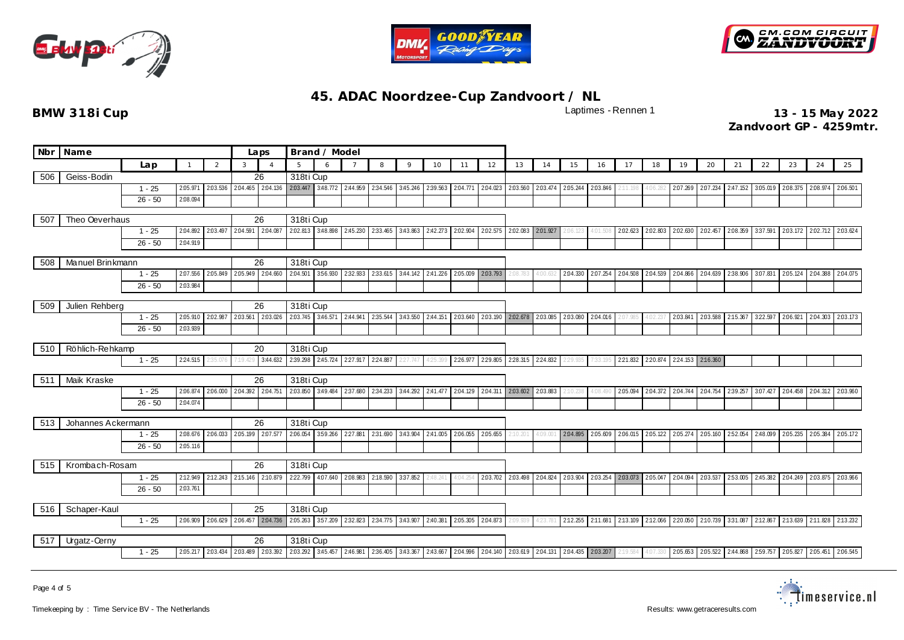





| Nbr | <b>Name</b>                      |           |          |          |           | Brand / Model<br>Laps      |                                     |          |                                                                                                            |                   |          |                   |          |                 |          |                            |          |          |                            |                                     |                   |                            |                            |                            |                   |          |          |
|-----|----------------------------------|-----------|----------|----------|-----------|----------------------------|-------------------------------------|----------|------------------------------------------------------------------------------------------------------------|-------------------|----------|-------------------|----------|-----------------|----------|----------------------------|----------|----------|----------------------------|-------------------------------------|-------------------|----------------------------|----------------------------|----------------------------|-------------------|----------|----------|
|     |                                  | Lap       |          | 2        | 3         |                            | 5                                   | 6        | $\overline{7}$                                                                                             | 8                 | 9        | 10                | 11       | 12              | 13       | 14                         | 15       | 16       | 17                         | 18                                  | 19                | 20                         | 21                         | 22                         | 23                | 24       | 25       |
| 506 | Geiss-Bodin                      |           |          |          |           | 26                         | 318ti Cup                           |          |                                                                                                            |                   |          |                   |          |                 |          |                            |          |          |                            |                                     |                   |                            |                            |                            |                   |          |          |
|     |                                  | $1 - 25$  | 2:05.971 | 2.03.536 | 2:04.465  | 2:04.136                   | 2.03.447                            |          | 3.48.772 2.44.959                                                                                          | 2:34.546 3:45.246 |          | 2:39.563          | 2.04.771 | 2:04.023        |          | 2.03.560 2.03.474          | 2.05.244 | 2.03.846 |                            | 4:06.28.                            | 2.07.269 2.07.234 |                            | 2:47.152                   | 3.05.019                   | 2:08.375          | 2.08.974 | 2:06.501 |
|     |                                  | $26 - 50$ | 2:08.094 |          |           |                            |                                     |          |                                                                                                            |                   |          |                   |          |                 |          |                            |          |          |                            |                                     |                   |                            |                            |                            |                   |          |          |
| 507 | Theo Oeverhaus                   |           |          |          |           | 26                         | 318ti Cup                           |          |                                                                                                            |                   |          |                   |          |                 |          |                            |          |          |                            |                                     |                   |                            |                            |                            |                   |          |          |
|     |                                  | $1 - 25$  | 2:04.892 | 2.03.497 | 2:04.591  | 2:04.08                    | 2.02.813                            | 3:48.898 | 2:45.230                                                                                                   | 2:33.465          | 3:43.863 | 2:42.273          | 2.02.904 | 2:02.575        |          | 2.02.083 2.01.927          | 2:06.123 | 4:01.508 | 2:02.623                   | 2.02.803                            | 2.02.630 2.02.457 |                            | 2:08.359                   | 3:37.591                   | 2.03.172          | 2.02.712 | 2.03.624 |
|     |                                  | $26 - 50$ | 2:04.919 |          |           |                            |                                     |          |                                                                                                            |                   |          |                   |          |                 |          |                            |          |          |                            |                                     |                   |                            |                            |                            |                   |          |          |
|     |                                  |           |          |          |           |                            |                                     |          |                                                                                                            |                   |          |                   |          |                 |          |                            |          |          |                            |                                     |                   |                            |                            |                            |                   |          |          |
| 508 | Manuel Brinkmann                 | $1 - 25$  | 2:07.556 | 2:05.849 | 2:05.949  | 26<br>2:04.660             | 318ti Cup<br>2:04.501               | 356.930  | 2:32.933                                                                                                   | 2:33.615 3:44.142 |          | 2:41.226          | 2:05.009 | 2.03.793        | 2:08.783 | 4:00.632                   | 2:04.330 | 2:07.254 |                            | 2.04.508 2.04.539                   |                   | 2.04.866 2.04.639          | 2:38.906                   | 3.07.831                   | 2:05.124          | 2:04.388 | 2:04.075 |
|     |                                  | $26 - 50$ | 2:03.984 |          |           |                            |                                     |          |                                                                                                            |                   |          |                   |          |                 |          |                            |          |          |                            |                                     |                   |                            |                            |                            |                   |          |          |
|     |                                  |           |          |          |           |                            |                                     |          |                                                                                                            |                   |          |                   |          |                 |          |                            |          |          |                            |                                     |                   |                            |                            |                            |                   |          |          |
| 509 | Julien Rehberg                   |           |          |          |           | 26                         | 318ti Cup                           |          |                                                                                                            |                   |          |                   |          |                 |          |                            |          |          |                            |                                     |                   |                            |                            |                            |                   |          |          |
|     |                                  | $1 - 25$  | 2:05.910 | 2:02.987 |           | 2.03.561 2.03.026          |                                     |          | 2.03.745 3.46.571 2.44.941 2.35.544                                                                        |                   | 3:43.550 | 2:44.151 2:03.640 |          |                 |          | 2.03.190 2.02.678 2.03.085 | 2:03.080 | 2:04.016 |                            | 4:02.23                             | 2:03.841          | 2:03.588                   | 2:15.367                   | 322.597                    | 2.06.921          | 2.04.303 | 2.03.173 |
|     |                                  | $26 - 50$ | 2:03.939 |          |           |                            |                                     |          |                                                                                                            |                   |          |                   |          |                 |          |                            |          |          |                            |                                     |                   |                            |                            |                            |                   |          |          |
| 510 | Röhlich-Rehkamp                  |           |          | 20       | 318ti Cup |                            |                                     |          |                                                                                                            |                   |          |                   |          |                 |          |                            |          |          |                            |                                     |                   |                            |                            |                            |                   |          |          |
|     |                                  |           |          | 3:44.632 |           |                            | 2:39.298 2:45.724 2:27.917 2:24.887 |          | 2:27.747                                                                                                   | 125.39            | 226.977  | 2:29.805          |          | 228.315 224.832 | 2:29.935 | 1:33.19!                   | 2:21.832 |          | 220.874 224.153 2:16.360   |                                     |                   |                            |                            |                            |                   |          |          |
|     |                                  |           |          |          |           |                            | 318ti Cup                           |          |                                                                                                            |                   |          |                   |          |                 |          |                            |          |          |                            |                                     |                   |                            |                            |                            |                   |          |          |
| 511 | Maik Kraske                      | $1 - 25$  | 2:06.874 | 2:06.000 | 2:04.392  | 26<br>2.04.751             | 2.03.850                            | 3:49.484 | 2:37.680                                                                                                   | 2:34.233          | 3:44.292 | 2:41.477          | 2:04.129 | 2:04.311        | 2.03.602 | 2.03.883                   |          | 1:08.491 | 2:05.094                   | 2.04.372                            |                   | 2.04.744 2.04.754 2.39.257 |                            | 3.07.427                   | 2:04.458          | 2.04.312 | 2.03.960 |
|     |                                  | $26 - 50$ | 2:04.074 |          |           |                            |                                     |          |                                                                                                            |                   |          |                   |          |                 |          |                            | 2:10.238 |          |                            |                                     |                   |                            |                            |                            |                   |          |          |
|     |                                  |           |          |          |           |                            |                                     |          |                                                                                                            |                   |          |                   |          |                 |          |                            |          |          |                            |                                     |                   |                            |                            |                            |                   |          |          |
| 513 | Johannes Ackermann               |           |          |          |           | 26                         | 318ti Cup                           |          |                                                                                                            |                   |          |                   |          |                 |          |                            |          |          |                            |                                     |                   |                            |                            |                            |                   |          |          |
|     |                                  | $1 - 25$  | 2:08.676 | 2.06.033 |           | 2.05.199 2.07.577          | 2.06.054                            | 359.266  | 2:27.881                                                                                                   | 2:31.690          | 3:43.904 | 2:41.005          | 2.06.055 | 2:05.655        | 2:10.201 | 4:09.001                   | 2.04.895 | 2.05.609 |                            | 2.06.015 2.05.122                   |                   | 2.05.274 2.05.160          | 252.054                    | 2:48.099                   | 2.05.235 2.05.384 |          | 2:05.172 |
|     |                                  | $26 - 50$ | 2:05.116 |          |           |                            |                                     |          |                                                                                                            |                   |          |                   |          |                 |          |                            |          |          |                            |                                     |                   |                            |                            |                            |                   |          |          |
| 515 | Krombach-Rosam                   |           |          |          |           | 26                         | 318ti Cup                           |          |                                                                                                            |                   |          |                   |          |                 |          |                            |          |          |                            |                                     |                   |                            |                            |                            |                   |          |          |
|     |                                  | $1 - 25$  | 2:12.949 | 2:12.243 | 2:15.146  | 2:10.879                   | 222.799                             | 4:07.640 | 2:08.983                                                                                                   | 2:18.590          | 337.852  | :48.241           | 4:04.254 | 2.03.702        |          | 2.03.498 2.04.824          | 2:03.904 |          | 2.03.254 2.03.073 2.05.047 |                                     | 2.04.094 2.03.537 |                            | 253.005                    | 2:45.382                   | 2:04.249          | 2.03.875 | 2.03.966 |
|     | 2:03.761<br>$26 - 50$            |           |          |          |           |                            |                                     |          |                                                                                                            |                   |          |                   |          |                 |          |                            |          |          |                            |                                     |                   |                            |                            |                            |                   |          |          |
| 516 | Schaper-Kaul                     |           |          |          | 25        | 318ti Cup                  |                                     |          |                                                                                                            |                   |          |                   |          |                 |          |                            |          |          |                            |                                     |                   |                            |                            |                            |                   |          |          |
|     | 2:06.629<br>2:06.909<br>$1 - 25$ |           |          |          |           | 2.06.457 2.04.736          |                                     |          | 2.05.263 3.57.209 2.32.823 2.34.775 3.43.907                                                               |                   |          | 2:40.381          | 2.05.305 | 2.04.873        | 2:09.939 | 4:23.781                   |          |          |                            | 2:12.255 2:11.681 2:13.109 2:12.066 |                   | 2:20.050 2:10.739 3:31.087 |                            | 2:12.867 2:13.639          |                   | 2:11.828 | 2:13.232 |
|     |                                  |           |          |          |           |                            |                                     |          |                                                                                                            |                   |          |                   |          |                 |          |                            |          |          |                            |                                     |                   |                            |                            |                            |                   |          |          |
| 517 | <b>Urgatz-Cerny</b>              |           |          |          |           | 26                         | 318ti Cup                           |          |                                                                                                            |                   |          |                   |          |                 |          |                            |          |          |                            |                                     |                   |                            |                            |                            |                   |          |          |
|     | $1 - 25$<br>2:05.217             |           |          |          |           | 2.03.434 2.03.489 2.03.392 |                                     |          | 203.292 3:45.457 2:46.981 2:36.405 3:43.367 2:43.667 2:04.996 2:04.140 2:03.619 2:04.131 2:04.435 2:03.207 |                   |          |                   |          |                 |          |                            |          |          |                            | 4:07.33                             |                   |                            | 2.05.653 2.05.522 2.44.868 | 2.59.757 2.05.827 2.05.451 |                   |          | 2:06.545 |